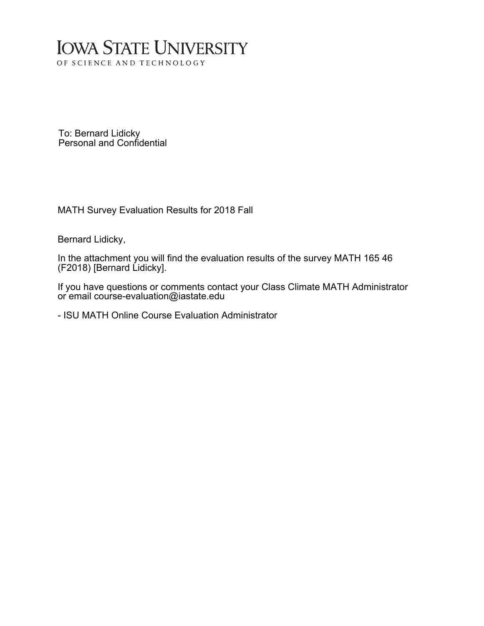## **IOWA STATE UNIVERSITY** OF SCIENCE AND TECHNOLOGY

To: Bernard Lidicky Personal and Confidential

MATH Survey Evaluation Results for 2018 Fall

Bernard Lidicky,

In the attachment you will find the evaluation results of the survey MATH 165 46 (F2018) [Bernard Lidicky].

If you have questions or comments contact your Class Climate MATH Administrator or email course-evaluation@iastate.edu

- ISU MATH Online Course Evaluation Administrator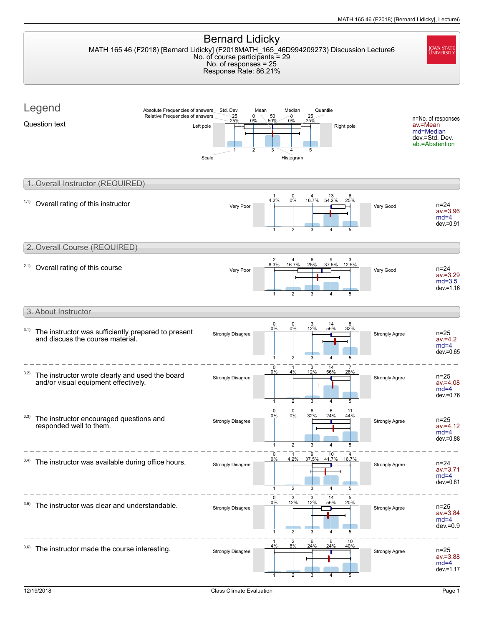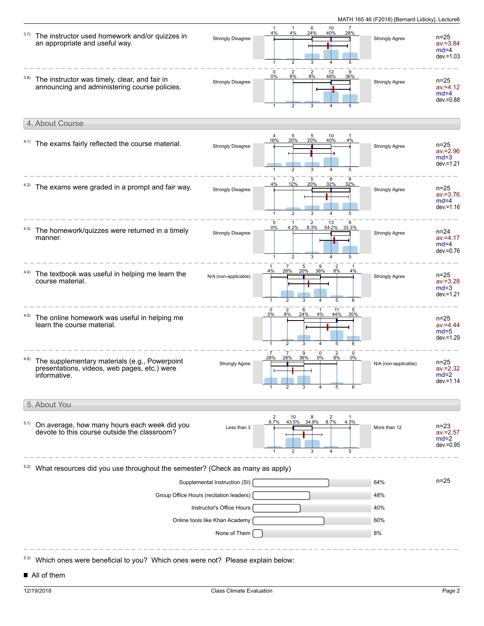

■ All of them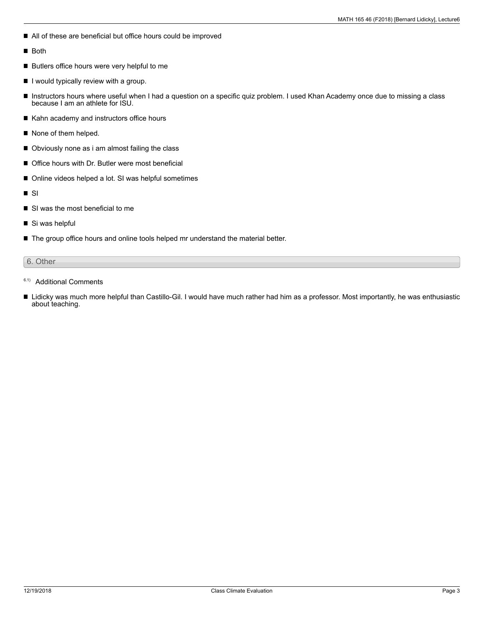- All of these are beneficial but office hours could be improved
- Both
- Butlers office hours were very helpful to me
- $\blacksquare$  I would typically review with a group.
- $\blacksquare$ Instructors hours where useful when I had a question on a specific quiz problem. I used Khan Academy once due to missing a class because I am an athlete for ISU.
- Kahn academy and instructors office hours
- None of them helped.
- Obviously none as i am almost failing the class
- Office hours with Dr. Butler were most beneficial
- Online videos helped a lot. SI was helpful sometimes
- SI  $\blacksquare$
- SI was the most beneficial to me
- Si was helpful
- The group office hours and online tools helped mr understand the material better.

### 6. Other

- <sup>6.1)</sup> Additional Comments
- Lidicky was much more helpful than Castillo-Gil. I would have much rather had him as a professor. Most importantly, he was enthusiastic about teaching.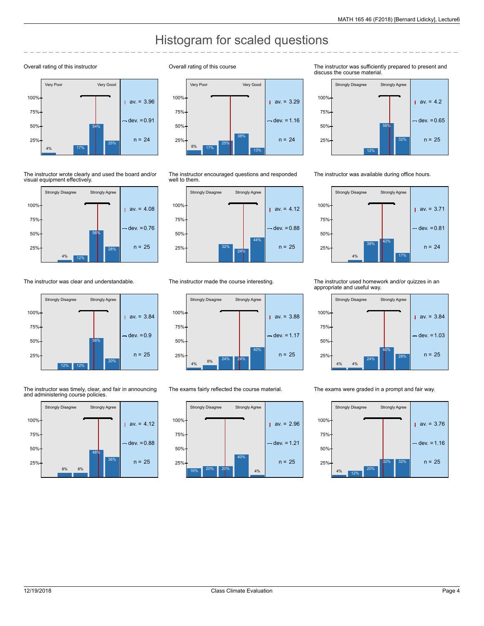# Histogram for scaled questions

#### Overall rating of this instructor



The instructor wrote clearly and used the board and/or visual equipment effectively.



The instructor was clear and understandable.



The instructor was timely, clear, and fair in announcing and administering course policies.



Overall rating of this course



The instructor encouraged questions and responded well to them.



The instructor made the course interesting.



The exams fairly reflected the course material.



The instructor was sufficiently prepared to present and discuss the course material.



The instructor was available during office hours.



The instructor used homework and/or quizzes in an appropriate and useful way.



The exams were graded in a prompt and fair way.

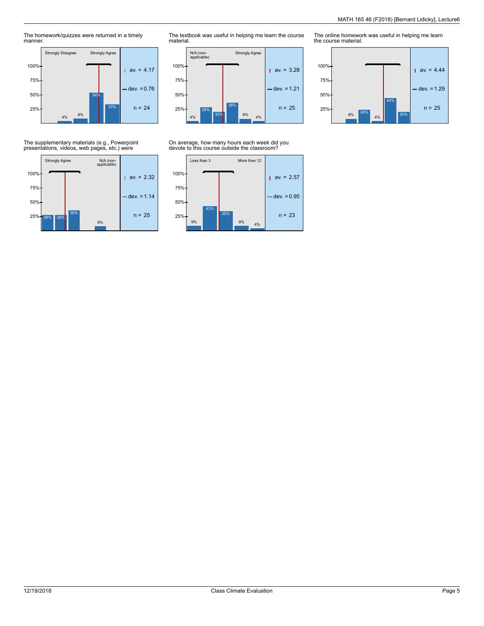The homework/quizzes were returned in a timely manner.



The textbook was useful in helping me learn the course material.



### On average, how many hours each week did you devote to this course outside the classroom?



The online homework was useful in helping me learn the course material.



The supplementary materials (e.g., Powerpoint presentations, videos, web pages, etc.) were

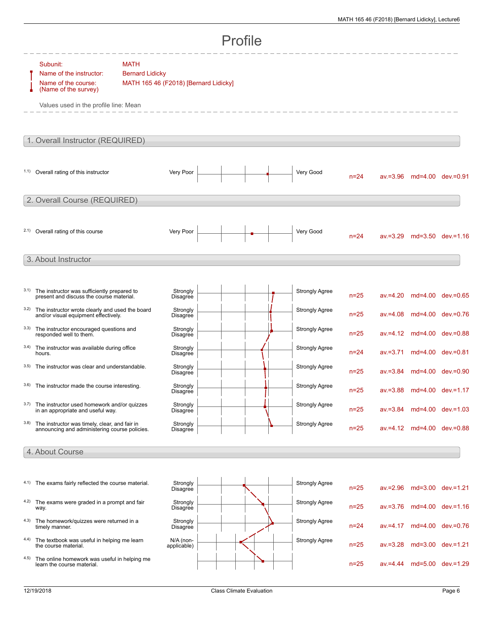| Profile                          |                                                                                                                             |                                                                                |                             |  |  |                       |          |             |  |                            |  |  |
|----------------------------------|-----------------------------------------------------------------------------------------------------------------------------|--------------------------------------------------------------------------------|-----------------------------|--|--|-----------------------|----------|-------------|--|----------------------------|--|--|
|                                  | Subunit:<br>Name of the instructor:<br>Name of the course:<br>(Name of the survey)<br>Values used in the profile line: Mean | <b>MATH</b><br><b>Bernard Lidicky</b><br>MATH 165 46 (F2018) [Bernard Lidicky] |                             |  |  |                       |          |             |  |                            |  |  |
| 1. Overall Instructor (REQUIRED) |                                                                                                                             |                                                                                |                             |  |  |                       |          |             |  |                            |  |  |
|                                  | 1.1) Overall rating of this instructor                                                                                      |                                                                                | Very Poor                   |  |  | Very Good             | $n = 24$ |             |  | av.=3.96 md=4.00 dev.=0.91 |  |  |
| 2. Overall Course (REQUIRED)     |                                                                                                                             |                                                                                |                             |  |  |                       |          |             |  |                            |  |  |
|                                  | 2.1) Overall rating of this course                                                                                          |                                                                                | Very Poor                   |  |  | Very Good             | $n = 24$ |             |  | av.=3.29 md=3.50 dev.=1.16 |  |  |
|                                  | 3. About Instructor                                                                                                         |                                                                                |                             |  |  |                       |          |             |  |                            |  |  |
| 3.1)                             | The instructor was sufficiently prepared to<br>present and discuss the course material.                                     |                                                                                | Strongly<br><b>Disagree</b> |  |  | <b>Strongly Agree</b> | $n = 25$ | $av = 4.20$ |  | md=4.00 dev.=0.65          |  |  |
| 3.2)                             | The instructor wrote clearly and used the board<br>and/or visual equipment effectively.                                     |                                                                                | Strongly<br>Disagree        |  |  | <b>Strongly Agree</b> | $n = 25$ | $av = 4.08$ |  | md=4.00 dev.=0.76          |  |  |
| 3.3)                             | The instructor encouraged questions and<br>responded well to them.                                                          |                                                                                | Strongly<br>Disagree        |  |  | <b>Strongly Agree</b> | $n = 25$ |             |  | av.=4.12 md=4.00 dev.=0.88 |  |  |
| 3.4)                             | The instructor was available during office<br>hours.                                                                        |                                                                                | Strongly<br>Disagree        |  |  | <b>Strongly Agree</b> | $n = 24$ | $av = 3.71$ |  | md=4.00 dev.=0.81          |  |  |
| 3.5)                             | The instructor was clear and understandable.                                                                                |                                                                                | Strongly<br>Disagree        |  |  | <b>Strongly Agree</b> | $n = 25$ |             |  | av.=3.84 md=4.00 dev.=0.90 |  |  |
| 3.6)                             | The instructor made the course interesting.                                                                                 |                                                                                | Strongly<br>Disagree        |  |  | <b>Strongly Agree</b> | $n=25$   |             |  | av.=3.88 md=4.00 dev.=1.17 |  |  |
| 3.7)                             | The instructor used homework and/or quizzes<br>in an appropriate and useful way.                                            |                                                                                | Strongly<br>Disagree        |  |  | <b>Strongly Agree</b> | $n = 25$ |             |  | av.=3.84 md=4.00 dev.=1.03 |  |  |
| 3.8)                             | The instructor was timely, clear, and fair in<br>announcing and administering course policies.                              |                                                                                | Strongly<br><b>Disagree</b> |  |  | <b>Strongly Agree</b> | $n = 25$ |             |  | av.=4.12 md=4.00 dev.=0.88 |  |  |
|                                  | 4. About Course                                                                                                             |                                                                                |                             |  |  |                       |          |             |  |                            |  |  |
|                                  | 4.1) The exams fairly reflected the course material.                                                                        |                                                                                | Strongly<br><b>Disagree</b> |  |  | <b>Strongly Agree</b> | $n = 25$ | $av = 2.96$ |  | md=3.00 dev.=1.21          |  |  |
|                                  | 4.2) The exams were graded in a prompt and fair<br>way.                                                                     |                                                                                | Strongly<br><b>Disagree</b> |  |  | <b>Strongly Agree</b> | $n=25$   | $av = 3.76$ |  | md=4.00 dev.=1.16          |  |  |
|                                  | 4.3) The homework/quizzes were returned in a<br>timely manner.                                                              |                                                                                | Strongly<br><b>Disagree</b> |  |  | <b>Strongly Agree</b> | $n = 24$ | $av = 4.17$ |  | md=4.00 dev.=0.76          |  |  |
| 4.4)                             | The textbook was useful in helping me learn<br>the course material.                                                         |                                                                                | $N/A$ (non-<br>applicable)  |  |  | <b>Strongly Agree</b> | $n = 25$ | $av = 3.28$ |  | md=3.00 dev.=1.21          |  |  |
| 4.5)                             | The online homework was useful in helping me<br>learn the course material.                                                  |                                                                                |                             |  |  |                       | $n = 25$ | $av = 4.44$ |  | md=5.00 dev.=1.29          |  |  |